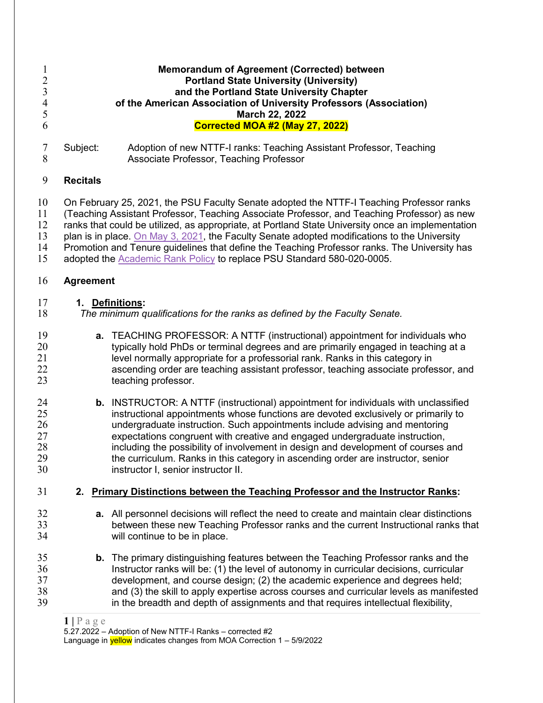## |  $P$  a g e  $5.27.2022 -$  Adoption of New NTTF-I Ranks - corrected #2 **Memorandum of Agreement (Corrected) between Portland State University (University) and the Portland State University Chapter of the American Association of University Professors (Association) March 22, 2022 Corrected MOA #2 (May 27, 2022)** Subject: Adoption of new NTTF-I ranks: Teaching Assistant Professor, Teaching Associate Professor, Teaching Professor **Recitals** On February 25, 2021, the PSU Faculty Senate adopted the NTTF-I Teaching Professor ranks 11 (Teaching Assistant Professor, Teaching Associate Professor, and Teaching Professor) as new<br>12 ranks that could be utilized, as appropriate, at Portland State University once an implementation ranks that could be utilized, as appropriate, at Portland State University once an implementation plan is in place. [On May 3, 2021,](https://www.dropbox.com/s/ypto0tz3g8cq7us/2021.05.03%20D.1%20as%20amended.pdf?dl=0) the Faculty Senate adopted modifications to the University 14 Promotion and Tenure guidelines that define the Teaching Professor ranks. The University has<br>15 adopted the Academic Rank Policy to replace PSU Standard 580-020-0005. adopted the **Academic Rank Policy** to replace PSU Standard 580-020-0005. **Agreement 1. Definitions:** *The minimum qualifications for the ranks as defined by the Faculty Senate.* 19 **a.** TEACHING PROFESSOR: A NTTF (instructional) appointment for individuals who<br>20 **by a**tvoically hold PhDs or terminal degrees and are primarily engaged in teaching at a typically hold PhDs or terminal degrees and are primarily engaged in teaching at a level normally appropriate for a professorial rank. Ranks in this category in 22 ascending order are teaching assistant professor, teaching associate professor, and<br>23 teaching professor. teaching professor. **b.** INSTRUCTOR: A NTTF (instructional) appointment for individuals with unclassified instructional appointments whose functions are devoted exclusively or primarily to 26 undergraduate instruction. Such appointments include advising and mentoring<br>27 expectations congruent with creative and engaged undergraduate instruction. expectations congruent with creative and engaged undergraduate instruction, including the possibility of involvement in design and development of courses and the curriculum. Ranks in this category in ascending order are instructor, senior instructor I, senior instructor II. **2. Primary Distinctions between the Teaching Professor and the Instructor Ranks: a.** All personnel decisions will reflect the need to create and maintain clear distinctions between these new Teaching Professor ranks and the current Instructional ranks that will continue to be in place. **b.** The primary distinguishing features between the Teaching Professor ranks and the Instructor ranks will be: (1) the level of autonomy in curricular decisions, curricular development, and course design; (2) the academic experience and degrees held; 38 and (3) the skill to apply expertise across courses and curricular levels as manifested<br>39 in the breadth and depth of assignments and that requires intellectual flexibility. in the breadth and depth of assignments and that requires intellectual flexibility,

Language in  $y$ ellow indicates changes from MOA Correction  $1 - 5/9/2022$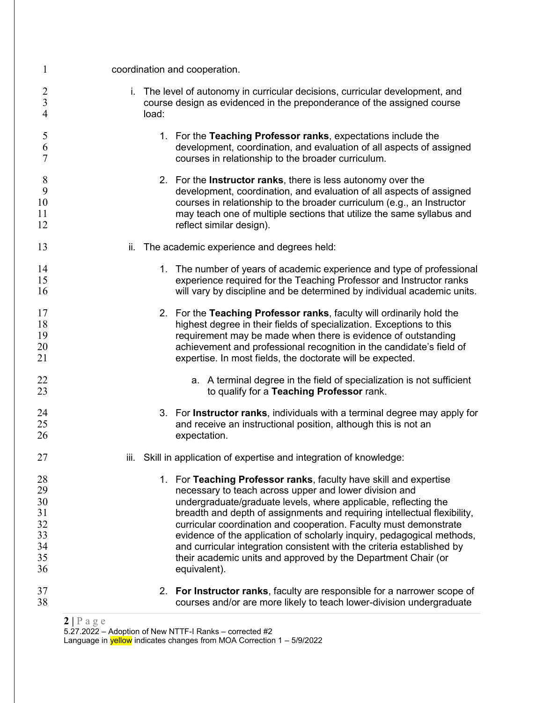| $\mathbf{1}$                                       | coordination and cooperation. |                                                                                                                                                                                                                                                                                                                                                                                                                                                                                                                                                                                      |  |
|----------------------------------------------------|-------------------------------|--------------------------------------------------------------------------------------------------------------------------------------------------------------------------------------------------------------------------------------------------------------------------------------------------------------------------------------------------------------------------------------------------------------------------------------------------------------------------------------------------------------------------------------------------------------------------------------|--|
| $\overline{c}$<br>$\overline{3}$<br>$\overline{4}$ | load:                         | i. The level of autonomy in curricular decisions, curricular development, and<br>course design as evidenced in the preponderance of the assigned course                                                                                                                                                                                                                                                                                                                                                                                                                              |  |
| 5<br>6<br>7                                        |                               | 1. For the Teaching Professor ranks, expectations include the<br>development, coordination, and evaluation of all aspects of assigned<br>courses in relationship to the broader curriculum.                                                                                                                                                                                                                                                                                                                                                                                          |  |
| 8<br>9<br>10<br>11<br>12                           |                               | 2. For the <b>Instructor ranks</b> , there is less autonomy over the<br>development, coordination, and evaluation of all aspects of assigned<br>courses in relationship to the broader curriculum (e.g., an Instructor<br>may teach one of multiple sections that utilize the same syllabus and<br>reflect similar design).                                                                                                                                                                                                                                                          |  |
| 13                                                 | ii.                           | The academic experience and degrees held:                                                                                                                                                                                                                                                                                                                                                                                                                                                                                                                                            |  |
| 14<br>15<br>16                                     |                               | 1. The number of years of academic experience and type of professional<br>experience required for the Teaching Professor and Instructor ranks<br>will vary by discipline and be determined by individual academic units.                                                                                                                                                                                                                                                                                                                                                             |  |
| 17<br>18<br>19<br>20<br>21                         |                               | 2. For the Teaching Professor ranks, faculty will ordinarily hold the<br>highest degree in their fields of specialization. Exceptions to this<br>requirement may be made when there is evidence of outstanding<br>achievement and professional recognition in the candidate's field of<br>expertise. In most fields, the doctorate will be expected.                                                                                                                                                                                                                                 |  |
| 22<br>23                                           |                               | a. A terminal degree in the field of specialization is not sufficient<br>to qualify for a Teaching Professor rank.                                                                                                                                                                                                                                                                                                                                                                                                                                                                   |  |
| 24<br>25<br>26                                     |                               | 3. For Instructor ranks, individuals with a terminal degree may apply for<br>and receive an instructional position, although this is not an<br>expectation.                                                                                                                                                                                                                                                                                                                                                                                                                          |  |
| 27                                                 |                               | iii. Skill in application of expertise and integration of knowledge:                                                                                                                                                                                                                                                                                                                                                                                                                                                                                                                 |  |
| 28<br>29<br>30<br>31<br>32<br>33<br>34<br>35<br>36 |                               | 1. For Teaching Professor ranks, faculty have skill and expertise<br>necessary to teach across upper and lower division and<br>undergraduate/graduate levels, where applicable, reflecting the<br>breadth and depth of assignments and requiring intellectual flexibility,<br>curricular coordination and cooperation. Faculty must demonstrate<br>evidence of the application of scholarly inquiry, pedagogical methods,<br>and curricular integration consistent with the criteria established by<br>their academic units and approved by the Department Chair (or<br>equivalent). |  |
| 37<br>38                                           |                               | 2. For Instructor ranks, faculty are responsible for a narrower scope of<br>courses and/or are more likely to teach lower-division undergraduate                                                                                                                                                                                                                                                                                                                                                                                                                                     |  |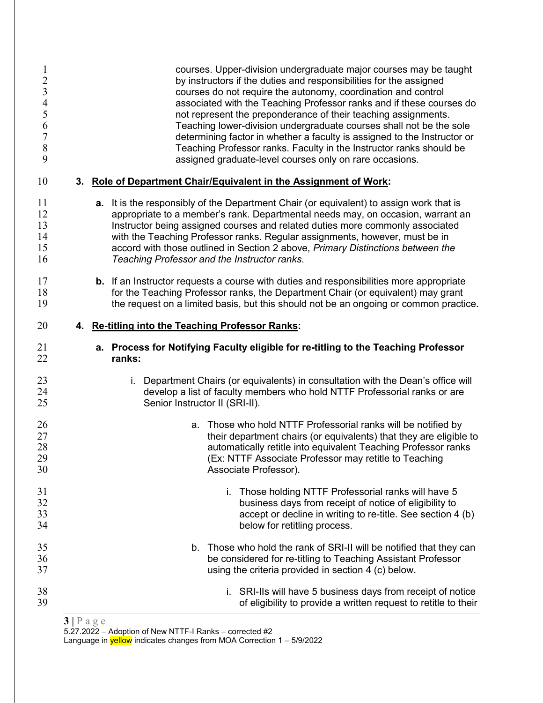| 1<br>$\overline{c}$<br>$\overline{3}$<br>$\overline{4}$<br>5<br>6<br>$\overline{7}$<br>$\,8\,$<br>9 |    | courses. Upper-division undergraduate major courses may be taught<br>by instructors if the duties and responsibilities for the assigned<br>courses do not require the autonomy, coordination and control<br>associated with the Teaching Professor ranks and if these courses do<br>not represent the preponderance of their teaching assignments.<br>Teaching lower-division undergraduate courses shall not be the sole<br>determining factor in whether a faculty is assigned to the Instructor or<br>Teaching Professor ranks. Faculty in the Instructor ranks should be<br>assigned graduate-level courses only on rare occasions. |
|-----------------------------------------------------------------------------------------------------|----|-----------------------------------------------------------------------------------------------------------------------------------------------------------------------------------------------------------------------------------------------------------------------------------------------------------------------------------------------------------------------------------------------------------------------------------------------------------------------------------------------------------------------------------------------------------------------------------------------------------------------------------------|
| 10                                                                                                  | 3. | Role of Department Chair/Equivalent in the Assignment of Work:                                                                                                                                                                                                                                                                                                                                                                                                                                                                                                                                                                          |
| 11<br>12<br>13<br>14<br>15<br>16                                                                    |    | <b>a.</b> It is the responsibly of the Department Chair (or equivalent) to assign work that is<br>appropriate to a member's rank. Departmental needs may, on occasion, warrant an<br>Instructor being assigned courses and related duties more commonly associated<br>with the Teaching Professor ranks. Regular assignments, however, must be in<br>accord with those outlined in Section 2 above, Primary Distinctions between the<br>Teaching Professor and the Instructor ranks.                                                                                                                                                    |
| 17<br>18<br>19                                                                                      |    | <b>b.</b> If an Instructor requests a course with duties and responsibilities more appropriate<br>for the Teaching Professor ranks, the Department Chair (or equivalent) may grant<br>the request on a limited basis, but this should not be an ongoing or common practice.                                                                                                                                                                                                                                                                                                                                                             |
| 20                                                                                                  | 4. | <b>Re-titling into the Teaching Professor Ranks:</b>                                                                                                                                                                                                                                                                                                                                                                                                                                                                                                                                                                                    |
| 21<br>22                                                                                            |    | a. Process for Notifying Faculty eligible for re-titling to the Teaching Professor<br>ranks:                                                                                                                                                                                                                                                                                                                                                                                                                                                                                                                                            |
| 23<br>24<br>25                                                                                      |    | Department Chairs (or equivalents) in consultation with the Dean's office will<br>i.<br>develop a list of faculty members who hold NTTF Professorial ranks or are<br>Senior Instructor II (SRI-II).                                                                                                                                                                                                                                                                                                                                                                                                                                     |
| 26<br>27<br>28<br>29<br>30                                                                          |    | a. Those who hold NTTF Professorial ranks will be notified by<br>their department chairs (or equivalents) that they are eligible to<br>automatically retitle into equivalent Teaching Professor ranks<br>(Ex: NTTF Associate Professor may retitle to Teaching<br>Associate Professor).                                                                                                                                                                                                                                                                                                                                                 |
| 31<br>32<br>33<br>34                                                                                |    | i. Those holding NTTF Professorial ranks will have 5<br>business days from receipt of notice of eligibility to<br>accept or decline in writing to re-title. See section 4 (b)<br>below for retitling process.                                                                                                                                                                                                                                                                                                                                                                                                                           |
| 35<br>36<br>37                                                                                      |    | b. Those who hold the rank of SRI-II will be notified that they can<br>be considered for re-titling to Teaching Assistant Professor<br>using the criteria provided in section 4 (c) below.                                                                                                                                                                                                                                                                                                                                                                                                                                              |
| 38<br>39                                                                                            |    | i. SRI-IIs will have 5 business days from receipt of notice<br>of eligibility to provide a written request to retitle to their                                                                                                                                                                                                                                                                                                                                                                                                                                                                                                          |

**|** Pag e

5.27.2022 - Adoption of New NTTF-I Ranks - corrected #2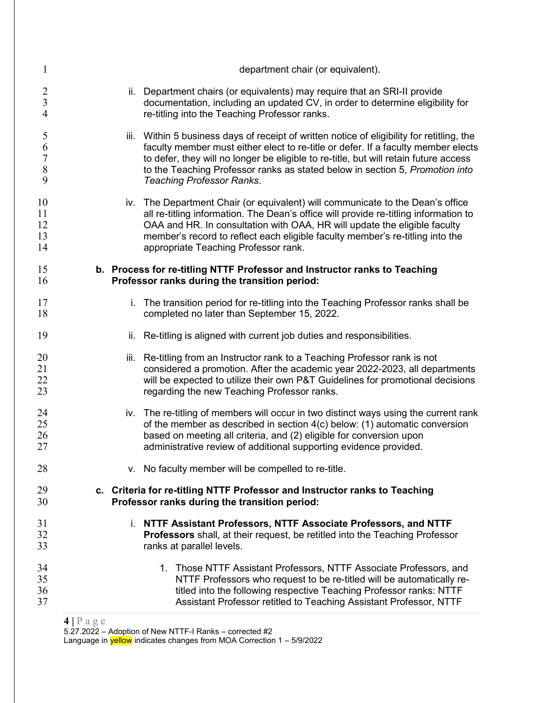| 1                                                  |                                                                                                                             | department chair (or equivalent).                                                                                                                                                                                                                                                                                                                                                           |
|----------------------------------------------------|-----------------------------------------------------------------------------------------------------------------------------|---------------------------------------------------------------------------------------------------------------------------------------------------------------------------------------------------------------------------------------------------------------------------------------------------------------------------------------------------------------------------------------------|
| $\overline{2}$<br>$\overline{3}$<br>$\overline{4}$ |                                                                                                                             | Department chairs (or equivalents) may require that an SRI-II provide<br>ii.<br>documentation, including an updated CV, in order to determine eligibility for<br>re-titling into the Teaching Professor ranks.                                                                                                                                                                              |
| 5<br>6<br>$\overline{7}$<br>$\,$ $\,$<br>9         |                                                                                                                             | iii. Within 5 business days of receipt of written notice of eligibility for retitling, the<br>faculty member must either elect to re-title or defer. If a faculty member elects<br>to defer, they will no longer be eligible to re-title, but will retain future access<br>to the Teaching Professor ranks as stated below in section 5, Promotion into<br><b>Teaching Professor Ranks.</b> |
| 10<br>11<br>12<br>13<br>14                         |                                                                                                                             | iv. The Department Chair (or equivalent) will communicate to the Dean's office<br>all re-titling information. The Dean's office will provide re-titling information to<br>OAA and HR. In consultation with OAA, HR will update the eligible faculty<br>member's record to reflect each eligible faculty member's re-titling into the<br>appropriate Teaching Professor rank.                |
| 15<br>16                                           |                                                                                                                             | b. Process for re-titling NTTF Professor and Instructor ranks to Teaching<br>Professor ranks during the transition period:                                                                                                                                                                                                                                                                  |
| 17<br>18                                           |                                                                                                                             | i. The transition period for re-titling into the Teaching Professor ranks shall be<br>completed no later than September 15, 2022.                                                                                                                                                                                                                                                           |
| 19                                                 |                                                                                                                             | Re-titling is aligned with current job duties and responsibilities.<br>ii.                                                                                                                                                                                                                                                                                                                  |
| 20<br>21<br>22<br>23                               |                                                                                                                             | iii.<br>Re-titling from an Instructor rank to a Teaching Professor rank is not<br>considered a promotion. After the academic year 2022-2023, all departments<br>will be expected to utilize their own P&T Guidelines for promotional decisions<br>regarding the new Teaching Professor ranks.                                                                                               |
| 24<br>25<br>26<br>27                               |                                                                                                                             | iv. The re-titling of members will occur in two distinct ways using the current rank<br>of the member as described in section 4(c) below: (1) automatic conversion<br>based on meeting all criteria, and (2) eligible for conversion upon<br>administrative review of additional supporting evidence provided.                                                                              |
| 28                                                 |                                                                                                                             | v. No faculty member will be compelled to re-title.                                                                                                                                                                                                                                                                                                                                         |
| 29<br>30                                           | c. Criteria for re-titling NTTF Professor and Instructor ranks to Teaching<br>Professor ranks during the transition period: |                                                                                                                                                                                                                                                                                                                                                                                             |
| 31<br>32<br>33                                     |                                                                                                                             | i. NTTF Assistant Professors, NTTF Associate Professors, and NTTF<br><b>Professors</b> shall, at their request, be retitled into the Teaching Professor<br>ranks at parallel levels.                                                                                                                                                                                                        |
| 34<br>35<br>36<br>37                               |                                                                                                                             | 1. Those NTTF Assistant Professors, NTTF Associate Professors, and<br>NTTF Professors who request to be re-titled will be automatically re-<br>titled into the following respective Teaching Professor ranks: NTTF<br>Assistant Professor retitled to Teaching Assistant Professor, NTTF                                                                                                    |
|                                                    | $4 P$ age                                                                                                                   |                                                                                                                                                                                                                                                                                                                                                                                             |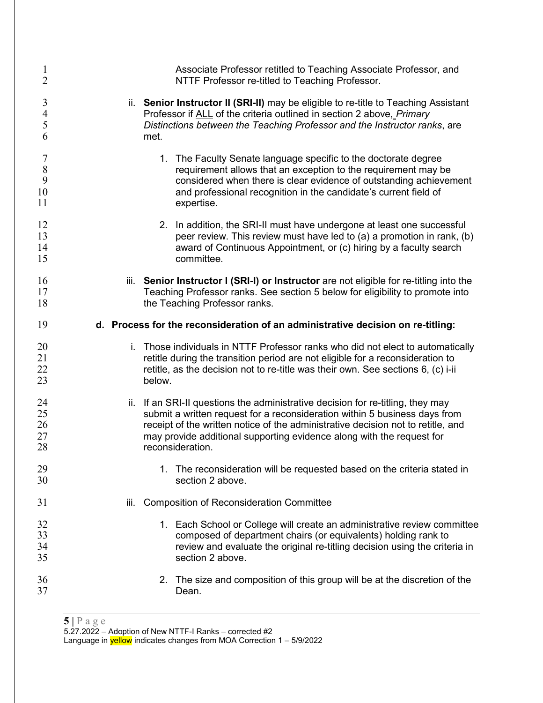| $\mathbf{1}$         | Associate Professor retitled to Teaching Associate Professor, and                                                                                                                                                                                                  |
|----------------------|--------------------------------------------------------------------------------------------------------------------------------------------------------------------------------------------------------------------------------------------------------------------|
| $\overline{2}$       | NTTF Professor re-titled to Teaching Professor.                                                                                                                                                                                                                    |
| 3                    | ii. Senior Instructor II (SRI-II) may be eligible to re-title to Teaching Assistant                                                                                                                                                                                |
| $\overline{4}$       | Professor if ALL of the criteria outlined in section 2 above, Primary                                                                                                                                                                                              |
| 5                    | Distinctions between the Teaching Professor and the Instructor ranks, are                                                                                                                                                                                          |
| 6                    | met.                                                                                                                                                                                                                                                               |
| 7                    | 1. The Faculty Senate language specific to the doctorate degree                                                                                                                                                                                                    |
| 8                    | requirement allows that an exception to the requirement may be                                                                                                                                                                                                     |
| 9                    | considered when there is clear evidence of outstanding achievement                                                                                                                                                                                                 |
| 10                   | and professional recognition in the candidate's current field of                                                                                                                                                                                                   |
| 11                   | expertise.                                                                                                                                                                                                                                                         |
| 12                   | 2. In addition, the SRI-II must have undergone at least one successful                                                                                                                                                                                             |
| 13                   | peer review. This review must have led to (a) a promotion in rank, (b)                                                                                                                                                                                             |
| 14                   | award of Continuous Appointment, or (c) hiring by a faculty search                                                                                                                                                                                                 |
| 15                   | committee.                                                                                                                                                                                                                                                         |
| 16                   | iii. Senior Instructor I (SRI-I) or Instructor are not eligible for re-titling into the                                                                                                                                                                            |
| 17                   | Teaching Professor ranks. See section 5 below for eligibility to promote into                                                                                                                                                                                      |
| 18                   | the Teaching Professor ranks.                                                                                                                                                                                                                                      |
| 19                   | d. Process for the reconsideration of an administrative decision on re-titling:                                                                                                                                                                                    |
| 20<br>21<br>22<br>23 | Those individuals in NTTF Professor ranks who did not elect to automatically<br>i.<br>retitle during the transition period are not eligible for a reconsideration to<br>retitle, as the decision not to re-title was their own. See sections 6, (c) i-ii<br>below. |
| 24                   | ii. If an SRI-II questions the administrative decision for re-titling, they may                                                                                                                                                                                    |
| 25                   | submit a written request for a reconsideration within 5 business days from                                                                                                                                                                                         |
| 26                   | receipt of the written notice of the administrative decision not to retitle, and                                                                                                                                                                                   |
| 27                   | may provide additional supporting evidence along with the request for                                                                                                                                                                                              |
| 28                   | reconsideration.                                                                                                                                                                                                                                                   |
| 29                   | 1. The reconsideration will be requested based on the criteria stated in                                                                                                                                                                                           |
| 30                   | section 2 above.                                                                                                                                                                                                                                                   |
|                      | <b>Composition of Reconsideration Committee</b><br>iii.                                                                                                                                                                                                            |
| 31                   |                                                                                                                                                                                                                                                                    |
| 32                   | 1. Each School or College will create an administrative review committee                                                                                                                                                                                           |
| 33                   | composed of department chairs (or equivalents) holding rank to                                                                                                                                                                                                     |
| 34                   | review and evaluate the original re-titling decision using the criteria in                                                                                                                                                                                         |
| 35                   | section 2 above.                                                                                                                                                                                                                                                   |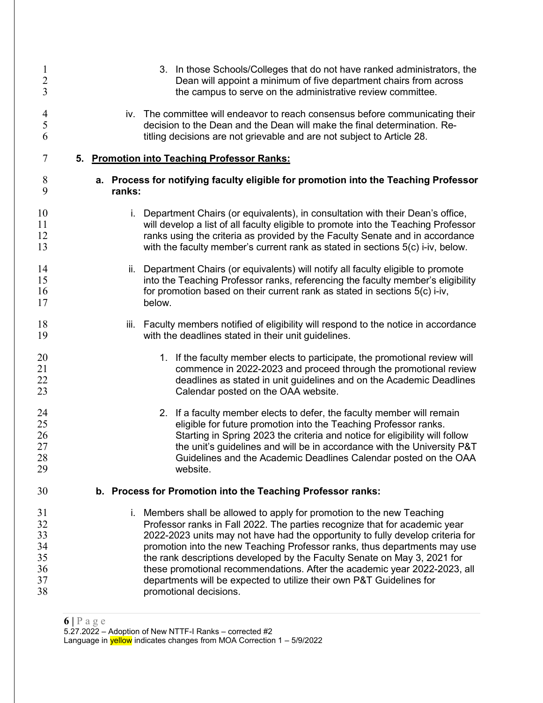| $\mathbf{1}$         | 3. In those Schools/Colleges that do not have ranked administrators, the                                                                                                                                                                                         |
|----------------------|------------------------------------------------------------------------------------------------------------------------------------------------------------------------------------------------------------------------------------------------------------------|
| $\overline{2}$       | Dean will appoint a minimum of five department chairs from across                                                                                                                                                                                                |
| $\overline{3}$       | the campus to serve on the administrative review committee.                                                                                                                                                                                                      |
| 4                    | iv. The committee will endeavor to reach consensus before communicating their                                                                                                                                                                                    |
| 5                    | decision to the Dean and the Dean will make the final determination. Re-                                                                                                                                                                                         |
| 6                    | titling decisions are not grievable and are not subject to Article 28.                                                                                                                                                                                           |
| 7                    | 5. Promotion into Teaching Professor Ranks:                                                                                                                                                                                                                      |
| 8                    | a. Process for notifying faculty eligible for promotion into the Teaching Professor                                                                                                                                                                              |
| 9                    | ranks:                                                                                                                                                                                                                                                           |
| 10                   | i. Department Chairs (or equivalents), in consultation with their Dean's office,                                                                                                                                                                                 |
| 11                   | will develop a list of all faculty eligible to promote into the Teaching Professor                                                                                                                                                                               |
| 12                   | ranks using the criteria as provided by the Faculty Senate and in accordance                                                                                                                                                                                     |
| 13                   | with the faculty member's current rank as stated in sections 5(c) i-iv, below.                                                                                                                                                                                   |
| 14<br>15<br>16<br>17 | Department Chairs (or equivalents) will notify all faculty eligible to promote<br>ii.<br>into the Teaching Professor ranks, referencing the faculty member's eligibility<br>for promotion based on their current rank as stated in sections 5(c) i-iv,<br>below. |
| 18<br>19             | Faculty members notified of eligibility will respond to the notice in accordance<br>iii.<br>with the deadlines stated in their unit guidelines.                                                                                                                  |
| 20                   | 1. If the faculty member elects to participate, the promotional review will                                                                                                                                                                                      |
| 21                   | commence in 2022-2023 and proceed through the promotional review                                                                                                                                                                                                 |
| 22                   | deadlines as stated in unit guidelines and on the Academic Deadlines                                                                                                                                                                                             |
| 23                   | Calendar posted on the OAA website.                                                                                                                                                                                                                              |
| 24                   | 2. If a faculty member elects to defer, the faculty member will remain                                                                                                                                                                                           |
| 25                   | eligible for future promotion into the Teaching Professor ranks.                                                                                                                                                                                                 |
| 26                   | Starting in Spring 2023 the criteria and notice for eligibility will follow                                                                                                                                                                                      |
| 27                   | the unit's guidelines and will be in accordance with the University P&T                                                                                                                                                                                          |
| 28                   | Guidelines and the Academic Deadlines Calendar posted on the OAA                                                                                                                                                                                                 |
| 29                   | website.                                                                                                                                                                                                                                                         |
| 30                   | b. Process for Promotion into the Teaching Professor ranks:                                                                                                                                                                                                      |
| 31                   | i. Members shall be allowed to apply for promotion to the new Teaching                                                                                                                                                                                           |
| 32                   | Professor ranks in Fall 2022. The parties recognize that for academic year                                                                                                                                                                                       |
| 33                   | 2022-2023 units may not have had the opportunity to fully develop criteria for                                                                                                                                                                                   |
| 34                   | promotion into the new Teaching Professor ranks, thus departments may use                                                                                                                                                                                        |
| 35                   | the rank descriptions developed by the Faculty Senate on May 3, 2021 for                                                                                                                                                                                         |
| 36                   | these promotional recommendations. After the academic year 2022-2023, all                                                                                                                                                                                        |
| 37                   | departments will be expected to utilize their own P&T Guidelines for                                                                                                                                                                                             |
| 38                   | promotional decisions.                                                                                                                                                                                                                                           |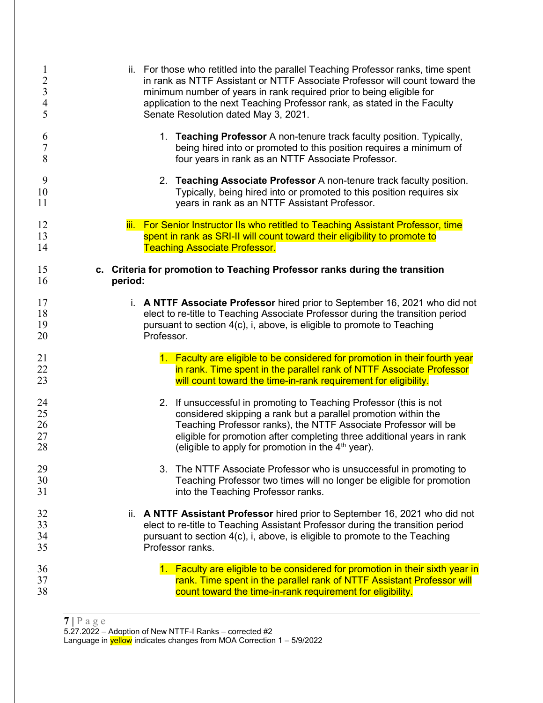| $\mathbf{1}$   | ii. For those who retitled into the parallel Teaching Professor ranks, time spent |
|----------------|-----------------------------------------------------------------------------------|
| $\overline{c}$ | in rank as NTTF Assistant or NTTF Associate Professor will count toward the       |
| $\overline{3}$ | minimum number of years in rank required prior to being eligible for              |
| $\overline{4}$ | application to the next Teaching Professor rank, as stated in the Faculty         |
| 5              | Senate Resolution dated May 3, 2021.                                              |
| 6              | 1. Teaching Professor A non-tenure track faculty position. Typically,             |
| $\overline{7}$ | being hired into or promoted to this position requires a minimum of               |
| 8              | four years in rank as an NTTF Associate Professor.                                |
| 9              | 2. Teaching Associate Professor A non-tenure track faculty position.              |
| 10             | Typically, being hired into or promoted to this position requires six             |
| 11             | years in rank as an NTTF Assistant Professor.                                     |
| 12             | iii. For Senior Instructor IIs who retitled to Teaching Assistant Professor, time |
| 13             | spent in rank as SRI-II will count toward their eligibility to promote to         |
| 14             | <b>Teaching Associate Professor.</b>                                              |
| 15             | c. Criteria for promotion to Teaching Professor ranks during the transition       |
| 16             | period:                                                                           |
| 17             | i. A NTTF Associate Professor hired prior to September 16, 2021 who did not       |
| 18             | elect to re-title to Teaching Associate Professor during the transition period    |
| 19             | pursuant to section 4(c), i, above, is eligible to promote to Teaching            |
| 20             | Professor.                                                                        |
| 21             | 1. Faculty are eligible to be considered for promotion in their fourth year       |
| 22             | in rank. Time spent in the parallel rank of NTTF Associate Professor              |
| 23             | will count toward the time-in-rank requirement for eligibility.                   |
| 24             | 2. If unsuccessful in promoting to Teaching Professor (this is not                |
| 25             | considered skipping a rank but a parallel promotion within the                    |
| 26             | Teaching Professor ranks), the NTTF Associate Professor will be                   |
| 27             | eligible for promotion after completing three additional years in rank            |
| 28             | (eligible to apply for promotion in the $4th$ year).                              |
| 29             | 3. The NTTF Associate Professor who is unsuccessful in promoting to               |
| 30             | Teaching Professor two times will no longer be eligible for promotion             |
| 31             | into the Teaching Professor ranks.                                                |
| 32             | ii. A NTTF Assistant Professor hired prior to September 16, 2021 who did not      |
| 33             | elect to re-title to Teaching Assistant Professor during the transition period    |
| 34             | pursuant to section 4(c), i, above, is eligible to promote to the Teaching        |
| 35             | Professor ranks.                                                                  |
| 36             | 1. Faculty are eligible to be considered for promotion in their sixth year in     |
| 37             | rank. Time spent in the parallel rank of NTTF Assistant Professor will            |
| 38             | count toward the time-in-rank requirement for eligibility.                        |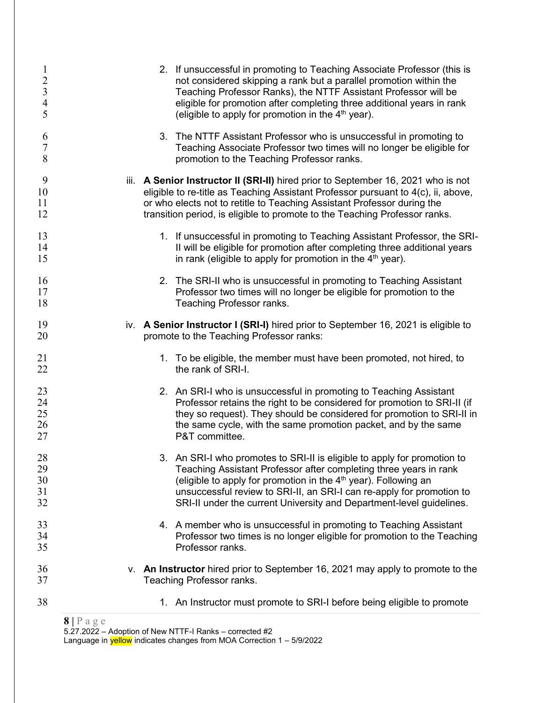| $\mathbf{1}$<br>$\sqrt{2}$<br>$\overline{\mathbf{3}}$<br>$\overline{4}$<br>5 | 2. If unsuccessful in promoting to Teaching Associate Professor (this is<br>not considered skipping a rank but a parallel promotion within the<br>Teaching Professor Ranks), the NTTF Assistant Professor will be<br>eligible for promotion after completing three additional years in rank<br>(eligible to apply for promotion in the $4th$ year).                 |  |
|------------------------------------------------------------------------------|---------------------------------------------------------------------------------------------------------------------------------------------------------------------------------------------------------------------------------------------------------------------------------------------------------------------------------------------------------------------|--|
| 6<br>$\overline{7}$<br>8                                                     | 3. The NTTF Assistant Professor who is unsuccessful in promoting to<br>Teaching Associate Professor two times will no longer be eligible for<br>promotion to the Teaching Professor ranks.                                                                                                                                                                          |  |
| 9<br>10<br>11<br>12                                                          | iii. A Senior Instructor II (SRI-II) hired prior to September 16, 2021 who is not<br>eligible to re-title as Teaching Assistant Professor pursuant to 4(c), ii, above,<br>or who elects not to retitle to Teaching Assistant Professor during the<br>transition period, is eligible to promote to the Teaching Professor ranks.                                     |  |
| 13<br>14<br>15                                                               | 1. If unsuccessful in promoting to Teaching Assistant Professor, the SRI-<br>II will be eligible for promotion after completing three additional years<br>in rank (eligible to apply for promotion in the $4th$ year).                                                                                                                                              |  |
| 16<br>17<br>18                                                               | 2. The SRI-II who is unsuccessful in promoting to Teaching Assistant<br>Professor two times will no longer be eligible for promotion to the<br>Teaching Professor ranks.                                                                                                                                                                                            |  |
| 19<br>20                                                                     | iv. A Senior Instructor I (SRI-I) hired prior to September 16, 2021 is eligible to<br>promote to the Teaching Professor ranks:                                                                                                                                                                                                                                      |  |
| 21<br>22                                                                     | 1. To be eligible, the member must have been promoted, not hired, to<br>the rank of SRI-I.                                                                                                                                                                                                                                                                          |  |
| 23<br>24<br>25<br>26<br>27                                                   | 2. An SRI-I who is unsuccessful in promoting to Teaching Assistant<br>Professor retains the right to be considered for promotion to SRI-II (if<br>they so request). They should be considered for promotion to SRI-II in<br>the same cycle, with the same promotion packet, and by the same<br>P&T committee.                                                       |  |
| 28<br>29<br>30<br>31<br>32                                                   | 3. An SRI-I who promotes to SRI-II is eligible to apply for promotion to<br>Teaching Assistant Professor after completing three years in rank<br>(eligible to apply for promotion in the $4th$ year). Following an<br>unsuccessful review to SRI-II, an SRI-I can re-apply for promotion to<br>SRI-II under the current University and Department-level guidelines. |  |
| 33<br>34<br>35                                                               | 4. A member who is unsuccessful in promoting to Teaching Assistant<br>Professor two times is no longer eligible for promotion to the Teaching<br>Professor ranks.                                                                                                                                                                                                   |  |
| 36<br>37                                                                     | v. An Instructor hired prior to September 16, 2021 may apply to promote to the<br>Teaching Professor ranks.                                                                                                                                                                                                                                                         |  |
| 38                                                                           | 1. An Instructor must promote to SRI-I before being eligible to promote                                                                                                                                                                                                                                                                                             |  |

 $8 | P a g e$ 

5.27.2022 - Adoption of New NTTF-I Ranks - corrected #2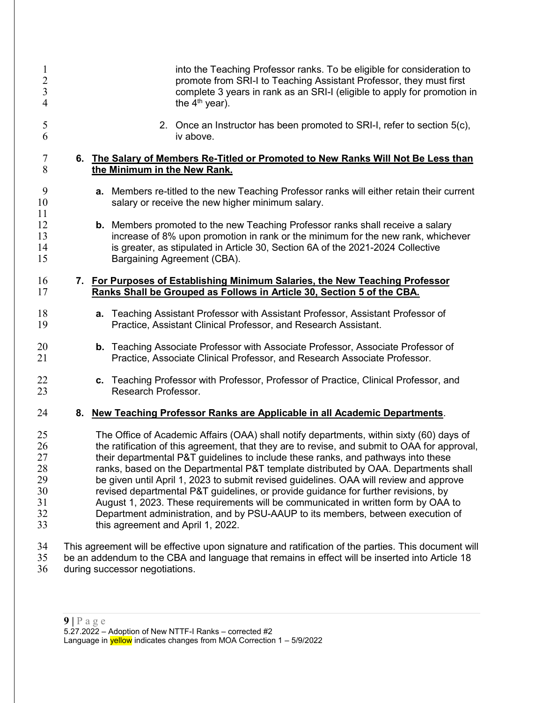| $\mathbf{l}$<br>$\overline{2}$<br>$\mathfrak{Z}$<br>4 |                                   | into the Teaching Professor ranks. To be eligible for consideration to<br>promote from SRI-I to Teaching Assistant Professor, they must first<br>complete 3 years in rank as an SRI-I (eligible to apply for promotion in<br>the $4th$ year).                                                                                                                                                                                                                                                                                                                                                                                                                                                                                |
|-------------------------------------------------------|-----------------------------------|------------------------------------------------------------------------------------------------------------------------------------------------------------------------------------------------------------------------------------------------------------------------------------------------------------------------------------------------------------------------------------------------------------------------------------------------------------------------------------------------------------------------------------------------------------------------------------------------------------------------------------------------------------------------------------------------------------------------------|
| 5<br>6                                                |                                   | 2. Once an Instructor has been promoted to SRI-I, refer to section 5(c),<br>iv above.                                                                                                                                                                                                                                                                                                                                                                                                                                                                                                                                                                                                                                        |
| $\overline{7}$<br>8                                   | the Minimum in the New Rank.      | 6. The Salary of Members Re-Titled or Promoted to New Ranks Will Not Be Less than                                                                                                                                                                                                                                                                                                                                                                                                                                                                                                                                                                                                                                            |
| 9<br>10<br>11                                         |                                   | <b>a.</b> Members re-titled to the new Teaching Professor ranks will either retain their current<br>salary or receive the new higher minimum salary.                                                                                                                                                                                                                                                                                                                                                                                                                                                                                                                                                                         |
| 12<br>13<br>14<br>15                                  |                                   | b. Members promoted to the new Teaching Professor ranks shall receive a salary<br>increase of 8% upon promotion in rank or the minimum for the new rank, whichever<br>is greater, as stipulated in Article 30, Section 6A of the 2021-2024 Collective<br>Bargaining Agreement (CBA).                                                                                                                                                                                                                                                                                                                                                                                                                                         |
| 16<br>17                                              |                                   | 7. For Purposes of Establishing Minimum Salaries, the New Teaching Professor<br>Ranks Shall be Grouped as Follows in Article 30, Section 5 of the CBA.                                                                                                                                                                                                                                                                                                                                                                                                                                                                                                                                                                       |
| 18<br>19                                              |                                   | a. Teaching Assistant Professor with Assistant Professor, Assistant Professor of<br>Practice, Assistant Clinical Professor, and Research Assistant.                                                                                                                                                                                                                                                                                                                                                                                                                                                                                                                                                                          |
| 20<br>21                                              |                                   | <b>b.</b> Teaching Associate Professor with Associate Professor, Associate Professor of<br>Practice, Associate Clinical Professor, and Research Associate Professor.                                                                                                                                                                                                                                                                                                                                                                                                                                                                                                                                                         |
| 22<br>23                                              | Research Professor.               | c. Teaching Professor with Professor, Professor of Practice, Clinical Professor, and                                                                                                                                                                                                                                                                                                                                                                                                                                                                                                                                                                                                                                         |
| 24                                                    |                                   | 8. New Teaching Professor Ranks are Applicable in all Academic Departments.                                                                                                                                                                                                                                                                                                                                                                                                                                                                                                                                                                                                                                                  |
| 25<br>26<br>27<br>28<br>29<br>30<br>31<br>32<br>33    | this agreement and April 1, 2022. | The Office of Academic Affairs (OAA) shall notify departments, within sixty (60) days of<br>the ratification of this agreement, that they are to revise, and submit to OAA for approval,<br>their departmental P&T guidelines to include these ranks, and pathways into these<br>ranks, based on the Departmental P&T template distributed by OAA. Departments shall<br>be given until April 1, 2023 to submit revised guidelines. OAA will review and approve<br>revised departmental P&T guidelines, or provide guidance for further revisions, by<br>August 1, 2023. These requirements will be communicated in written form by OAA to<br>Department administration, and by PSU-AAUP to its members, between execution of |
| 34<br>35<br>36                                        | during successor negotiations.    | This agreement will be effective upon signature and ratification of the parties. This document will<br>be an addendum to the CBA and language that remains in effect will be inserted into Article 18                                                                                                                                                                                                                                                                                                                                                                                                                                                                                                                        |

during successor negotiations.